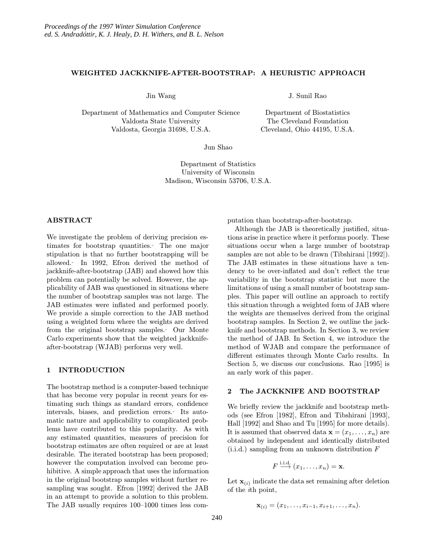## WEIGHTED JACKKNIFE-AFTER-BOOTSTRAP: A HEURISTIC APPROACH

Jin Wang

Department of Mathematics and Computer Science Valdosta State University Valdosta, Georgia 31698, U.S.A.

J. Sunil Rao

Department of Biostatistics The Cleveland Foundation Cleveland, Ohio 44195, U.S.A.

Jun Shao

Department of Statistics University of Wisconsin Madison, Wisconsin 53706, U.S.A.

# ABSTRACT

We investigate the problem of deriving precision estimates for bootstrap quantities. The one major stipulation is that no further bootstrapping will be allowed. In 1992, Efron derived the method of jackknife-after-bootstrap (JAB) and showed how this problem can potentially be solved. However, the applicability of JAB was questioned in situations where the number of bootstrap samples was not large. The JAB estimates were inflated and performed poorly. We provide a simple correction to the JAB method using a weighted form where the weights are derived from the original bootstrap samples. Our Monte Carlo experiments show that the weighted jackknifeafter-bootstrap (WJAB) performs very well.

## 1 INTRODUCTION

The bootstrap method is a computer-based technique that has become very popular in recent years for estimating such things as standard errors, confidence intervals, biases, and prediction errors. Its automatic nature and applicability to complicated problems have contributed to this popularity. As with any estimated quantities, measures of precision for bootstrap estimates are often required or are at least desirable. The iterated bootstrap has been proposed; however the computation involved can become prohibitive. A simple approach that uses the information in the original bootstrap samples without further resampling was sought. Efron [1992] derived the JAB in an attempt to provide a solution to this problem. The JAB usually requires 100–1000 times less computation than bootstrap-after-bootstrap.

Although the JAB is theoretically justified, situations arise in practice where it performs poorly. These situations occur when a large number of bootstrap samples are not able to be drawn (Tibshirani [1992]). The JAB estimates in these situations have a tendency to be over-inflated and don't reflect the true variability in the bootstrap statistic but more the limitations of using a small number of bootstrap samples. This paper will outline an approach to rectify this situation through a weighted form of JAB where the weights are themselves derived from the original bootstrap samples. In Section 2, we outline the jackknife and bootstrap methods. In Section 3, we review the method of JAB. In Section 4, we introduce the method of WJAB and compare the performance of different estimates through Monte Carlo results. In Section 5, we discuss our conclusions. Rao [1995] is an early work of this paper.

## 2 The JACKKNIFE AND BOOTSTRAP

We briefly review the jackknife and bootstrap methods (see Efron [1982], Efron and Tibshirani [1993], Hall [1992] and Shao and Tu [1995] for more details). It is assumed that observed data  $\mathbf{x} = (x_1, \ldots, x_n)$  are obtained by independent and identically distributed (i.i.d.) sampling from an unknown distribution F

$$
F \stackrel{\text{i.i.d.}}{\longrightarrow} (x_1, \ldots, x_n) = \mathbf{x}.
$$

Let  $\mathbf{x}_{(i)}$  indicate the data set remaining after deletion of the ith point,

$$
\mathbf{x}_{(i)}=(x_1,\ldots,x_{i-1},x_{i+1},\ldots,x_n).
$$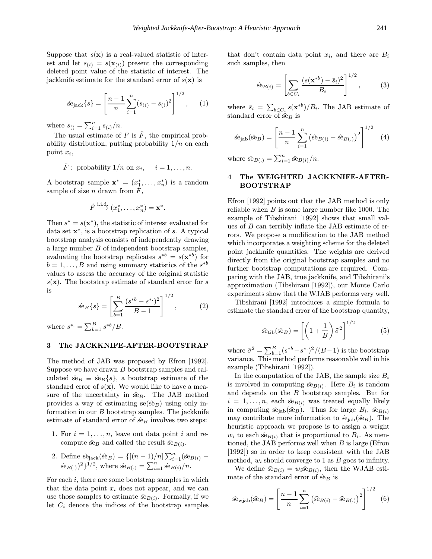Suppose that  $s(\mathbf{x})$  is a real-valued statistic of interest and let  $s_{(i)} = s(\mathbf{x}_{(i)})$  present the corresponding deleted point value of the statistic of interest. The jackknife estimate for the standard error of  $s(\mathbf{x})$  is

$$
\hat{\text{se}}_{\text{jack}}\{s\} = \left[\frac{n-1}{n}\sum_{i=1}^{n}(s_{(i)} - s_{(i)})^2\right]^{1/2},\qquad(1)
$$

where  $s_{()} = \sum_{i=1}^{n} s_{(i)}/n$ .

The usual estimate of F is  $\hat{F}$ , the empirical probability distribution, putting probability  $1/n$  on each point  $x_i$ ,

$$
\hat{F}
$$
: probability  $1/n$  on  $x_i$ ,  $i = 1, ..., n$ .

A bootstrap sample  $\mathbf{x}^* = (x_1^*, \ldots, x_n^*)$  is a random sample of size n drawn from  $\ddot{F}$ ,

$$
\hat{F} \stackrel{\text{i.i.d.}}{\longrightarrow} (x_1^*, \dots, x_n^*) = \mathbf{x}^*.
$$

Then  $s^* = s(\mathbf{x}^*)$ , the statistic of interest evaluated for data set  $x^*$ , is a bootstrap replication of s. A typical bootstrap analysis consists of independently drawing a large number B of independent bootstrap samples, evaluating the bootstrap replicates  $s^{*b} = s(\mathbf{x}^{*b})$  for  $b = 1, \ldots, B$  and using summary statistics of the  $s^{*b}$ values to assess the accuracy of the original statistic  $s(\mathbf{x})$ . The bootstrap estimate of standard error for s is

$$
\hat{\text{se}}_B\{s\} = \left[\sum_{b=1}^B \frac{(s^{*b} - s^{*})^2}{B - 1}\right]^{1/2},\tag{2}
$$

where  $s^* = \sum_{b=1}^B s^{*b}/B$ .

#### 3 The JACKKNIFE-AFTER-BOOTSTRAP

The method of JAB was proposed by Efron [1992]. Suppose we have drawn B bootstrap samples and calculated  $\hat{\textbf{s}}_{B} \equiv \hat{\textbf{s}}_{B} \{s\},\$ a bootstrap estimate of the standard error of  $s(\mathbf{x})$ . We would like to have a measure of the uncertainty in  $\hat{se}_B$ . The JAB method provides a way of estimating  $se(\hat{se}_B)$  using only information in our  $B$  bootstrap samples. The jackknife estimate of standard error of  $\hat{se}_B$  involves two steps:

- 1. For  $i = 1, \ldots, n$ , leave out data point i and recompute  $\hat{\textbf{s}}_{B}$  and called the result  $\hat{\textbf{s}}_{B(i)}$ .
- 2. Define  $\hat{\text{se}}_{\text{jack}}(\hat{\text{se}}_B) = \{[(n-1)/n] \sum_{i=1}^n (\hat{\text{se}}_{B(i)} \hat{\text{se}}_{B(.)}$ )<sup>2</sup>}<sup>1/2</sup>, where  $\hat{\text{se}}_{B(.)} = \sum_{i=1}^{n} \hat{\text{se}}_{B(i)}/n$ .

For each  $i$ , there are some bootstrap samples in which that the data point  $x_i$  does not appear, and we can use those samples to estimate  $\hat{\text{se}}_{B(i)}$ . Formally, if we let  $C_i$  denote the indices of the bootstrap samples that don't contain data point  $x_i$ , and there are  $B_i$ such samples, then

$$
\hat{\text{se}}_{B(i)} = \left[ \sum_{b \in C_i} \frac{(s(\mathbf{x}^{*b}) - \bar{s}_i)^2}{B_i} \right]^{1/2},\tag{3}
$$

where  $\bar{s}_i = \sum_{b \in C_i} s(\mathbf{x}^{*b})/B_i$ . The JAB estimate of standard error of  $\hat{se}_B$  is

$$
\hat{\text{se}}_{\text{jab}}(\hat{\text{se}}_B) = \left[\frac{n-1}{n} \sum_{i=1}^n (\hat{\text{se}}_{B(i)} - \hat{\text{se}}_{B(i)})^2\right]^{1/2} \quad (4)
$$

where  $\hat{\text{se}}_{B(.)} = \sum_{i=1}^{n} \hat{\text{se}}_{B(i)}/n$ .

## 4 The WEIGHTED JACKKNIFE-AFTER-BOOTSTRAP

Efron [1992] points out that the JAB method is only reliable when  $B$  is some large number like 1000. The example of Tibshirani [1992] shows that small values of B can terribly inflate the JAB estimate of errors. We propose a modification to the JAB method which incorporates a weighting scheme for the deleted point jackknife quantities. The weights are derived directly from the original bootstrap samples and no further bootstrap computations are required. Comparing with the JAB, true jackknife, and Tibshirani's approximation (Tibshirani [1992]), our Monte Carlo experiments show that the WJAB performs very well.

Tibshirani [1992] introduces a simple formula to estimate the standard error of the bootstrap quantity,

$$
\hat{\text{se}}_{\text{tib}}(\hat{\text{se}}_B) = \left[ \left( 1 + \frac{1}{B} \right) \tilde{\sigma}^2 \right]^{1/2} \tag{5}
$$

where  $\tilde{\sigma}^2 = \sum_{b=1}^B (s^{*b} - s^{*.})^2 / (B - 1)$  is the bootstrap variance. This method performs reasonable well in his example (Tibshirani [1992]).

In the computation of the JAB, the sample size  $B_i$ is involved in computing  $\hat{se}_{B(i)}$ . Here  $B_i$  is random and depends on the B bootstrap samples. But for  $i = 1, \ldots, n$ , each se<sub> $B(i)$ </sub> was treated equally likely in computing  $\hat{\text{se}}_{\text{jab}}(\hat{\text{se}}_B)$ . Thus for large  $B_i$ ,  $\hat{\text{se}}_{B(i)}$ may contribute more information to  $\hat{\text{se}}_{\text{jab}}(\hat{\text{se}}_B)$ . The heuristic approach we propose is to assign a weight  $w_i$  to each  $\hat{\text{se}}_{B(i)}$  that is proportional to  $B_i$ . As mentioned, the JAB performs well when  $B$  is large (Efron [1992]) so in order to keep consistent with the JAB method,  $w_i$  should converge to 1 as B goes to infinity.

We define  $\tilde{\text{se}}_{B(i)} = w_i \hat{\text{se}}_{B(i)}$ , then the WJAB estimate of the standard error of  $\hat{se}_B$  is

$$
\hat{\text{se}}_{\text{wjab}}(\hat{\text{se}}_B) = \left[\frac{n-1}{n} \sum_{i=1}^n (\hat{\text{se}}_{B(i)} - \hat{\text{se}}_{B(i)})^2\right]^{1/2} \tag{6}
$$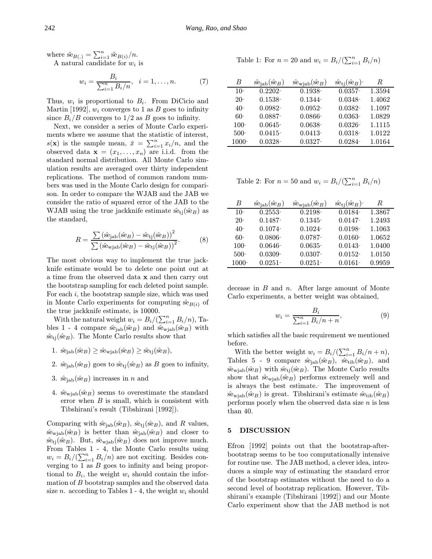where  $\tilde{\text{se}}_{B(.)} = \sum_{i=1}^{n} \tilde{\text{se}}_{B(i)}/n$ .

A natural candidate for  $w_i$  is

$$
w_i = \frac{B_i}{\sum_{i=1}^n B_i/n}, \quad i = 1, \dots, n. \tag{7}
$$

Thus,  $w_i$  is proportional to  $B_i$ . From DiCicio and Martin [1992],  $w_i$  converges to 1 as B goes to infinity since  $B_i/B$  converges to  $1/2$  as B goes to infinity.

Next, we consider a series of Monte Carlo experiments where we assume that the statistic of interest,  $s(\mathbf{x})$  is the sample mean,  $\bar{x} = \sum_{i=1}^{n} x_i/n$ , and the observed data  $\mathbf{x} = (x_1, \ldots, x_n)$  are i.i.d. from the standard normal distribution. All Monte Carlo simulation results are averaged over thirty independent replications. The method of common random numbers was used in the Monte Carlo design for comparison. In order to compare the WJAB and the JAB we consider the ratio of squared error of the JAB to the WJAB using the true jackknife estimate  $\hat{\text{se}}_{tj}(\hat{\text{se}}_B)$  as the standard,

$$
R = \frac{\sum (\hat{\text{se}}_{\text{jab}} (\hat{\text{se}}_B) - \hat{\text{se}}_{\text{tj}} (\hat{\text{se}}_B))^2}{\sum (\hat{\text{se}}_{\text{wjab}} (\hat{\text{se}}_B) - \hat{\text{se}}_{\text{tj}} (\hat{\text{se}}_B))^2}.
$$
(8)

The most obvious way to implement the true jackknife estimate would be to delete one point out at a time from the observed data x and then carry out the bootstrap sampling for each deleted point sample. For each  $i$ , the bootstrap sample size, which was used in Monte Carlo experiments for computing  $\hat{se}_{B(i)}$  of the true jackknife estimate, is 10000.

With the natural weight  $w_i = B_i/(\sum_{i=1}^n B_i/n)$ , Tables 1 - 4 compare  $\hat{\text{se}}_{jab}(\hat{\text{se}}_B)$  and  $\hat{\text{se}}_{\text{wjab}}(\hat{\text{se}}_B)$  with  $s\hat{e}_{ti}(s\hat{e}_B)$ . The Monte Carlo results show that

- 1.  $\hat{\text{se}}_{\text{jab}}(\hat{\text{se}}_B) \geq \hat{\text{se}}_{\text{wi}ab}(\hat{\text{se}}_B) \geq \hat{\text{se}}_{\text{ti}}(\hat{\text{se}}_B),$
- 2.  $\hat{\text{se}}_{\text{lab}}(\hat{\text{se}}_B)$  goes to  $\hat{\text{se}}_{\text{ti}}(\hat{\text{se}}_B)$  as B goes to infinity,
- 3.  $\hat{\text{se}}_{\text{lab}}(\hat{\text{se}}_B)$  increases in n and
- 4.  $\hat{\text{se}}_{\text{wjab}}(\hat{\text{se}}_B)$  seems to overestimate the standard error when  $B$  is small, which is consistent with Tibshirani's result (Tibshirani [1992]).

Comparing with  $\hat{\text{se}}_{\text{jab}}(\hat{\text{se}}_B)$ ,  $\hat{\text{se}}_{\text{ti}}(\hat{\text{se}}_B)$ , and R values,  $s\hat{e}_{\text{wjab}}(s\hat{e}_B)$  is better than  $s\hat{e}_{\text{jab}}(s\hat{e}_B)$  and closer to  $s\hat{\mathbf{e}}_{tj}(s\hat{\mathbf{e}}_B)$ . But,  $s\hat{\mathbf{e}}_{wjab}(s\hat{\mathbf{e}}_B)$  does not improve much. From Tables 1 - 4, the Monte Carlo results using  $w_i = B_i/(\sum_{i=1}^n B_i/n)$  are not exciting. Besides converging to  $1$  as  $B$  goes to infinity and being proportional to  $B_i$ , the weight  $w_i$  should contain the information of B bootstrap samples and the observed data size *n*. according to Tables 1 - 4, the weight  $w_i$  should

Table 1: For 
$$
n = 20
$$
 and  $w_i = B_i/(\sum_{i=1}^n B_i/n)$ 

| B       | $\hat{\text{se}}_{\text{jab}}(\hat{\text{se}}_B)$ | $\hat{\text{se}}_{\text{wjab}}(\hat{\text{se}}_B)$ | $\hat{\text{se}}_{\text{tj}}(\hat{\text{se}}_B)$ | R.     |
|---------|---------------------------------------------------|----------------------------------------------------|--------------------------------------------------|--------|
| $10-$   | $0.2202 -$                                        | $0.1938 -$                                         | $0.0357 -$                                       | 1.3594 |
| $20-$   | $0.1538 -$                                        | $0.1344 -$                                         | $0.0348 -$                                       | 1.4062 |
| $40-$   | $0.0982 -$                                        | $0.0952 -$                                         | $0.0382 -$                                       | 1.1097 |
| 60-     | $0.0887 -$                                        | $0.0866 -$                                         | $0.0363-$                                        | 1.0829 |
| $100-$  | $0.0645 -$                                        | $0.0638 -$                                         | $0.0326 -$                                       | 1.1115 |
| $500-$  | $0.0415 -$                                        | $0.0413 -$                                         | $0.0318 -$                                       | 1.0122 |
| $1000-$ | $0.0328 -$                                        | $0.0327 -$                                         | $0.0284 -$                                       | 1.0164 |

Table 2: For  $n = 50$  and  $w_i = B_i/(\sum_{i=1}^n B_i/n)$ 

| B        | $\hat{\text{se}}_{\text{jab}}(\hat{\text{se}}_B)$ | $\hat{\text{se}}_{\text{wjab}}(\hat{\text{se}}_B)$ | $\hat{\text{se}}_{\text{tj}}(\hat{\text{se}}_B)$ | R      |
|----------|---------------------------------------------------|----------------------------------------------------|--------------------------------------------------|--------|
| $10-$    | $0.2553 -$                                        | $0.2198 -$                                         | $0.0184 -$                                       | 1.3867 |
| $20-$    | $0.1487 -$                                        | $0.1345 -$                                         | $0.0147 -$                                       | 1.2493 |
| $40-$    | $0.1074 -$                                        | $0.1024 -$                                         | $0.0198 -$                                       | 1.1063 |
| 60-      | $0.0806 -$                                        | $0.0787 -$                                         | $0.0160 -$                                       | 1.0652 |
| $100-$   | $0.0646 -$                                        | $0.0635 -$                                         | $0.0143 -$                                       | 1.0400 |
| $500-$   | $0.0309 -$                                        | $0.0307 -$                                         | $0.0152 -$                                       | 1.0150 |
| $1000 -$ | $0.0251 -$                                        | $0.0251 -$                                         | $0.0161 -$                                       | 0.9959 |

decease in  $B$  and  $n$ . After large amount of Monte Carlo experiments, a better weight was obtained,

$$
w_i = \frac{B_i}{\sum_{i=1}^n B_i / n + n},
$$
\n(9)

which satisfies all the basic requirement we mentioned before.

With the better weight  $w_i = B_i/(\sum_{i=1}^n B_i/n + n)$ , Tables 5 - 9 compare  $\hat{\text{se}}_{\text{jab}}(\hat{\text{se}}_B)$ ,  $\hat{\text{se}}_{\text{tib}}(\hat{\text{se}}_B)$ , and  $\hat{\text{se}}_{\text{wjab}}(\hat{\text{se}}_B)$  with  $\hat{\text{se}}_{\text{tj}}(\hat{\text{se}}_B)$ . The Monte Carlo results show that  $\hat{\text{se}}_{\text{wjab}}(\hat{\text{se}}_B)$  performs extremely well and is always the best estimate. The improvement of  $\hat{\text{se}}_{\text{wiab}}(\hat{\text{se}}_B)$  is great. Tibshirani's estimate  $\hat{\text{se}}_{\text{tib}}(\hat{\text{se}}_B)$ performs poorly when the observed data size  $n$  is less than 40.

#### 5 DISCUSSION

Efron [1992] points out that the bootstrap-afterbootstrap seems to be too computationally intensive for routine use. The JAB method, a clever idea, introduces a simple way of estimating the standard error of the bootstrap estimates without the need to do a second level of bootstrap replication. However, Tibshirani's example (Tibshirani [1992]) and our Monte Carlo experiment show that the JAB method is not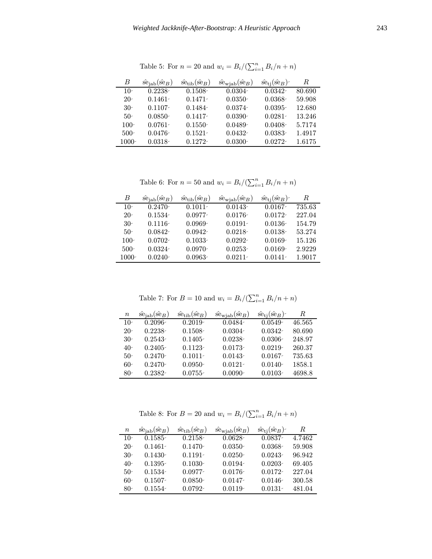| В       | $\hat{\text{se}}_{\text{lab}}(\hat{\text{se}}_B)$ | $\hat{\mathrm{se}}_{\mathrm{tib}}(\hat{\mathrm{se}}_B)$ | $\hat{\text{se}}_{\text{wjab}}(\hat{\text{se}}_B)$ | $\hat{\text{se}}_{\text{ti}}(\hat{\text{se}}_B)$ | R      |
|---------|---------------------------------------------------|---------------------------------------------------------|----------------------------------------------------|--------------------------------------------------|--------|
| $10-$   | $0.2238 -$                                        | $0.1508 -$                                              | $0.0304 -$                                         | $0.0342 -$                                       | 80.690 |
| $20-$   | $0.1461 -$                                        | $0.1471 -$                                              | $0.0350-$                                          | $0.0368 -$                                       | 59.908 |
| $30-$   | $0.1107 -$                                        | $0.1484 -$                                              | $0.0374 -$                                         | $0.0395 -$                                       | 12.680 |
| $50-$   | $0.0850 -$                                        | $0.1417 -$                                              | $0.0390 -$                                         | $0.0281 -$                                       | 13.246 |
| $100-$  | $0.0761 -$                                        | $0.1550-$                                               | $0.0489 -$                                         | $0.0408 -$                                       | 5.7174 |
| $500-$  | $0.0476 -$                                        | $0.1521 -$                                              | $0.0432 -$                                         | $0.0383 -$                                       | 1.4917 |
| $1000-$ | $0.0318 -$                                        | $0.1272 -$                                              | $0.0300 -$                                         | $0.0272 -$                                       | 1.6175 |

Table 5: For  $n = 20$  and  $w_i = B_i/(\sum_{i=1}^n B_i/n + n)$ 

Table 6: For  $n = 50$  and  $w_i = B_i/(\sum_{i=1}^n B_i/n + n)$ 

| B        | $\hat{\text{se}}_{\text{jab}}(\hat{\text{se}}_B)$ | $\hat{\text{se}}_{\text{tib}}(\hat{\text{se}}_B)$ | $\hat{\text{se}}_{\text{wjab}}(\hat{\text{se}}_B)$ | $\hat{\text{se}}_{\text{ti}}(\hat{\text{se}}_B)$ | $_{R}$ |
|----------|---------------------------------------------------|---------------------------------------------------|----------------------------------------------------|--------------------------------------------------|--------|
| $10-$    | $0.2470-$                                         | $0.1011 -$                                        | $0.0143 -$                                         | $0.0167 -$                                       | 735.63 |
| $20-$    | $0.1534 -$                                        | $0.0977 -$                                        | $0.0176-$                                          | $0.0172 -$                                       | 227.04 |
| $30-$    | $0.1116-$                                         | $0.0969-$                                         | $0.0191 -$                                         | $0.0136-$                                        | 154.79 |
| $50-$    | $0.0842 -$                                        | $0.0942 -$                                        | $0.0218 -$                                         | $0.0138 -$                                       | 53.274 |
| $100-$   | $0.0702 -$                                        | $0.1033 -$                                        | $0.0292 -$                                         | $0.0169 -$                                       | 15.126 |
| $500-$   | $0.0324 -$                                        | $0.0970-$                                         | $0.0253 -$                                         | $0.0169 -$                                       | 2.9229 |
| $1000 -$ | $0.0240 -$                                        | $0.0963 -$                                        | $0.0211 -$                                         | $0.0141 -$                                       | 1.9017 |

Table 7: For  $B = 10$  and  $w_i = B_i/(\sum_{i=1}^n B_i/n + n)$ 

| $\, n \,$ | $\hat{se}_{\text{jab}}(\hat{se}_B)$ | $\hat{\text{se}}_{\text{tib}}(\hat{\text{se}}_B)$ | $\hat{\text{se}}_{\text{wjab}}(\hat{\text{se}}_B)$ | $\hat{\text{se}}_{\text{ti}}(\hat{\text{se}}_B)$ | R      |
|-----------|-------------------------------------|---------------------------------------------------|----------------------------------------------------|--------------------------------------------------|--------|
| $10-$     | $0.2096 -$                          | $0.2019 -$                                        | $0.0484 -$                                         | $0.0549 -$                                       | 46.565 |
| $20-$     | $0.2238 -$                          | $0.1508 -$                                        | $0.0304 -$                                         | $0.0342 -$                                       | 80.690 |
| 30-       | $0.2543 -$                          | $0.1405 -$                                        | $0.0238 -$                                         | $0.0306 -$                                       | 248.97 |
| $40-$     | $0.2405 -$                          | $0.1123 -$                                        | $0.0173 -$                                         | $0.0219 -$                                       | 260.37 |
| $50-$     | $0.2470-$                           | $0.1011 -$                                        | $0.0143 -$                                         | $0.0167 -$                                       | 735.63 |
| $60-$     | $0.2470-$                           | $0.0950 -$                                        | $0.0121 -$                                         | $0.0140-$                                        | 1858.1 |
| -80       | $0.2382 -$                          | $0.0755 -$                                        | $0.0090 -$                                         | $0.0103 -$                                       | 4698.8 |

Table 8: For  $B = 20$  and  $w_i = B_i / (\sum_{i=1}^n B_i / n + n)$ 

| $\it n$ | $\hat{\text{se}}_{\text{jab}}(\hat{\text{se}}_B)$ | $\hat{\text{se}}_{\text{tib}}(\hat{\text{se}}_B)$ | $\hat{\text{se}}_{\text{wjab}}(\hat{\text{se}}_B)$ | $\hat{\text{se}}_{\text{ti}}(\hat{\text{se}}_B)$ | R      |
|---------|---------------------------------------------------|---------------------------------------------------|----------------------------------------------------|--------------------------------------------------|--------|
| $10-$   | $0.1585 -$                                        | $0.2158 -$                                        | $0.0628 -$                                         | $0.0837 -$                                       | 4.7462 |
| $20-$   | $0.1461 -$                                        | $0.1470-$                                         | $0.0350-$                                          | $0.0368 -$                                       | 59.908 |
| $30-$   | $0.1430 -$                                        | $0.1191 -$                                        | $0.0250 -$                                         | $0.0243 -$                                       | 96.942 |
| $40-$   | $0.1395 -$                                        | $0.1030 -$                                        | $0.0194 -$                                         | $0.0203 -$                                       | 69.405 |
| $50-$   | $0.1534 -$                                        | $0.0977 -$                                        | $0.0176-$                                          | $0.0172 -$                                       | 227.04 |
| 60-     | $0.1507 -$                                        | $0.0850 -$                                        | $0.0147 -$                                         | $0.0146 -$                                       | 300.58 |
| $80-$   | $0.1554 -$                                        | $0.0792 -$                                        | $0.0119 -$                                         | $0.0131 -$                                       | 481.04 |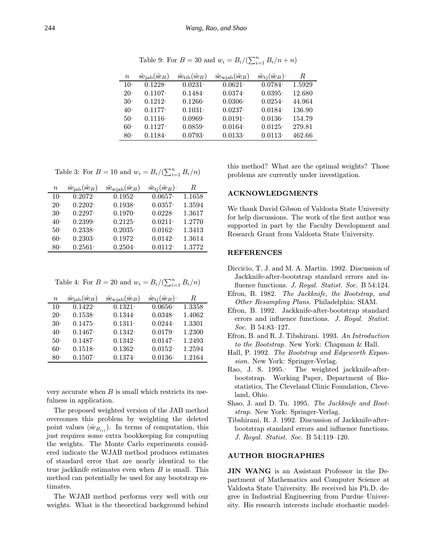$n \hat{\text{se}}_{\text{jab}}(\hat{\text{se}}_B) \hat{\text{se}}_{\text{tib}}(\hat{\text{se}}_B) \hat{\text{se}}_{\text{wjab}}(\hat{\text{se}}_B) \hat{\text{se}}_{\text{tj}}(\hat{\text{se}}_B)$  R  $10$  0.1228 0.0231 0.0621 0.0784 1.5929 20 0.1107 0.1484 0.0374 0.0395 12.680 30 0.1212 0.1266 0.0306 0.0254 44.964  $40$  0.1177 0.1031 0.0237 0.0184 136.90  $50$  0.1116 0.0969 0.0191 0.0136 154.79 60 0.1127 0.0859 0.0164 0.0125 279.81 80 0.1184 0.0793 0.0133 0.0113 462.66

Table 9: For  $B = 30$  and  $w_i = B_i / (\sum_{i=1}^n B_i / n + n)$ 

|  |  |  | Table 3: For $B = 10$ and $w_i = B_i/(\sum_{i=1}^n B_i/n)$ |  |  |
|--|--|--|------------------------------------------------------------|--|--|
|--|--|--|------------------------------------------------------------|--|--|

| $\it{n}$ | $\hat{\text{se}}_{\text{jab}}(\hat{\text{se}}_B)$ | $\hat{\text{se}}_{\text{wjab}}(\hat{\text{se}}_B)$ | $\hat{\text{se}}_{\text{tj}}(\hat{\text{se}}_B)$ | R      |
|----------|---------------------------------------------------|----------------------------------------------------|--------------------------------------------------|--------|
| $10-$    | $0.2072 -$                                        | $0.1952 -$                                         | $0.0657 -$                                       | 1.1658 |
| $20-$    | $0.2202 -$                                        | $0.1938 -$                                         | $0.0357 -$                                       | 1.3594 |
| $30-$    | $0.2297 -$                                        | $0.1970-$                                          | $0.0228 -$                                       | 1.3617 |
| $40-$    | $0.2399 -$                                        | $0.2125 -$                                         | $0.0211 -$                                       | 1.2770 |
| $50-$    | $0.2338 -$                                        | $0.2035 -$                                         | $0.0162 -$                                       | 1.3413 |
| $60-$    | $0.2303 -$                                        | $0.1972 -$                                         | $0.0142 -$                                       | 1.3614 |
| $80-$    | $0.2561 -$                                        | $0.2504 -$                                         | $0.0112 -$                                       | 1.3772 |

Table 4: For  $B = 20$  and  $w_i = B_i/(\sum_{i=1}^n B_i/n)$ 

| $\it{n}$ | $\hat{\text{se}}_{\text{lab}}(\hat{\text{se}}_B)$ | $\hat{\text{se}}_{\text{wjab}}(\hat{\text{se}}_B)$ | $\hat{\text{se}}_{\text{t}}(\hat{\text{se}}_B)$ | R      |
|----------|---------------------------------------------------|----------------------------------------------------|-------------------------------------------------|--------|
| $10-$    | $0.1422 -$                                        | $0.1321 -$                                         | $0.0656 -$                                      | 1.3358 |
| $20-$    | $0.1538 -$                                        | $0.1344 -$                                         | $0.0348 -$                                      | 1.4062 |
| $30-$    | $0.1475 -$                                        | $0.1311 -$                                         | $0.0244 -$                                      | 1.3301 |
| $40-$    | $0.1467 -$                                        | $0.1342 -$                                         | $0.0179 -$                                      | 1.2300 |
| $50-$    | $0.1487 -$                                        | $0.1342 -$                                         | $0.0147 -$                                      | 1.2493 |
| $60-$    | $0.1518 -$                                        | $0.1362 -$                                         | $0.0152 -$                                      | 1.2594 |
| $80-$    | $0.1507 -$                                        | $0.1374 -$                                         | $0.0136 -$                                      | 1.2164 |

very accurate when  $B$  is small which restricts its usefulness in application.

The proposed weighted version of the JAB method overcomes this problem by weighting the deleted point values ( $\hat{\text{se}}_{B(i)}$ ). In terms of computation, this just requires some extra bookkeeping for computing the weights. The Monte Carlo experiments considered indicate the WJAB method produces estimates of standard error that are nearly identical to the true jackknife estimates even when  $B$  is small. This method can potentially be used for any bootstrap estimates.

The WJAB method performs very well with our weights. What is the theoretical background behind

this method? What are the optimal weights? Those problems are currently under investigation.

### ACKNOWLEDGMENTS

We thank David Gibson of Valdosta State University for help discussions. The work of the first author was supported in part by the Faculty Development and Research Grant from Valdosta State University.

#### REFERENCES

- Diccicio, T. J. and M. A. Martin. 1992. Discussion of Jackknife-after-bootstrap standard errors and influence functions. *J. Royal. Statist. Soc.* B 54:124.
- Efron, B. 1982. The Jackknife, the Bootstrap, and Other Resampling Plans. Philadelphia: SIAM.
- Efron, B. 1992. Jackknife-after-bootstrap standard errors and influence functions. J. Royal. Statist. Soc. B 54:83–127.
- Efron, B. and R. J. Tibshirani. 1993. An Introduction to the Bootstrap. New York: Chapman & Hall.
- Hall, P. 1992. The Bootstrap and Edgeworth Expansion. New York: Springer-Verlag.
- Rao, J. S. 1995. The weighted jackknife-afterbootstrap. Working Paper, Department of Biostatistics, The Cleveland Clinic Foundation, Cleveland, Ohio.
- Shao, J. and D. Tu. 1995. The Jackknife and Bootstrap. New York: Springer-Verlag.
- Tibshirani, R. J. 1992. Discussion of Jackknife-afterbootstrap standard errors and influence functions. J. Royal. Statist. Soc. B 54:119–120.

#### AUTHOR BIOGRAPHIES

JIN WANG is an Assistant Professor in the Department of Mathematics and Computer Science at Valdosta State University. He received his Ph.D. degree in Industrial Engineering from Purdue University. His research interests include stochastic model